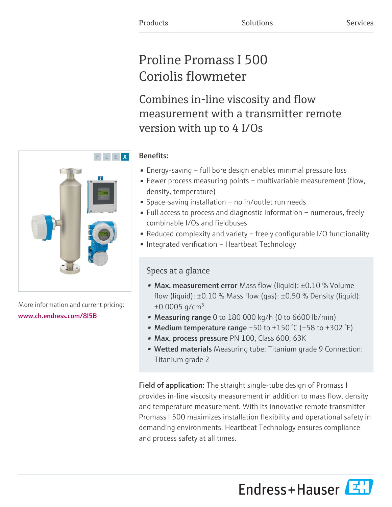# Proline Promass I 500 Coriolis flowmeter

Combines in-line viscosity and flow measurement with a transmitter remote version with up to 4 I/Os

### Benefits:

- Energy-saving full bore design enables minimal pressure loss
- Fewer process measuring points multivariable measurement (flow, density, temperature)
- Space-saving installation no in/outlet run needs
- Full access to process and diagnostic information numerous, freely combinable I/Os and fieldbuses
- Reduced complexity and variety freely configurable I/O functionality
- Integrated verification Heartbeat Technology

### Specs at a glance

- Max. measurement error Mass flow (liquid):  $\pm 0.10$  % Volume flow (liquid):  $\pm 0.10$  % Mass flow (qas):  $\pm 0.50$  % Density (liquid):  $\pm 0.0005$  g/cm<sup>3</sup>
- Measuring range 0 to 180 000 kg/h (0 to 6600 lb/min)
- Medium temperature range  $-50$  to  $+150$  °C ( $-58$  to  $+302$  °F)
- Max. process pressure PN 100, Class 600, 63K
- Wetted materials Measuring tube: Titanium grade 9 Connection: Titanium grade 2

Field of application: The straight single-tube design of Promass I provides in-line viscosity measurement in addition to mass flow, density and temperature measurement. With its innovative remote transmitter Promass I 500 maximizes installation flexibility and operational safety in demanding environments. Heartbeat Technology ensures compliance and process safety at all times.

Endress+Hauser



More information and current pricing: [www.ch.endress.com/8I5B](https://www.ch.endress.com/8I5B)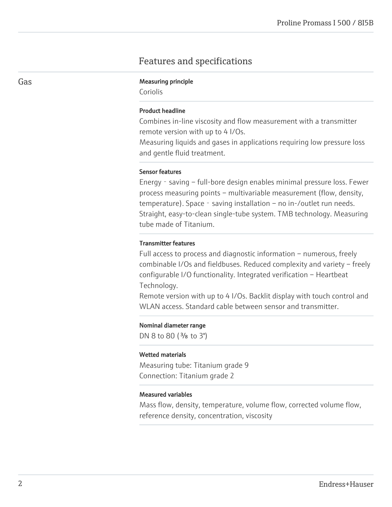### Features and specifications

#### Gas **Gas** Measuring principle

Coriolis

#### Product headline

Combines in-line viscosity and flow measurement with a transmitter remote version with up to 4 I/Os.

Measuring liquids and gases in applications requiring low pressure loss and gentle fluid treatment.

#### Sensor features

Energy - saving – full-bore design enables minimal pressure loss. Fewer process measuring points – multivariable measurement (flow, density, temperature). Space - saving installation – no in-/outlet run needs. Straight, easy-to-clean single-tube system. TMB technology. Measuring tube made of Titanium.

#### Transmitter features

Full access to process and diagnostic information – numerous, freely combinable I/Os and fieldbuses. Reduced complexity and variety – freely configurable I/O functionality. Integrated verification – Heartbeat Technology.

Remote version with up to 4 I/Os. Backlit display with touch control and WLAN access. Standard cable between sensor and transmitter.

#### Nominal diameter range

DN 8 to 80  $(3/s)$  to 3")

#### Wetted materials

Measuring tube: Titanium grade 9 Connection: Titanium grade 2

#### Measured variables

Mass flow, density, temperature, volume flow, corrected volume flow, reference density, concentration, viscosity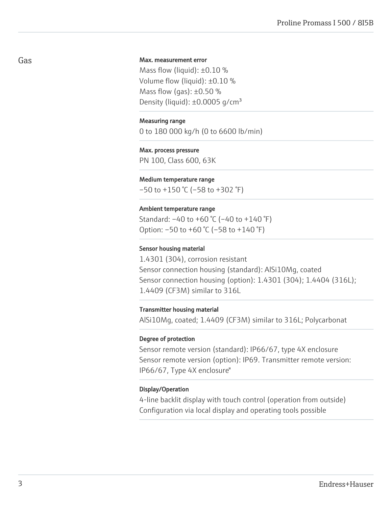#### Max. measurement error

Mass flow (liquid):  $\pm 0.10$  % Volume flow (liquid): ±0.10 % Mass flow (gas):  $\pm 0.50$  % Density (liquid):  $\pm 0.0005$  g/cm<sup>3</sup>

#### Measuring range

0 to 180 000 kg/h (0 to 6600 lb/min)

#### Max. process pressure

PN 100, Class 600, 63K

#### Medium temperature range

 $-50$  to  $+150$  °C ( $-58$  to  $+302$  °F)

#### Ambient temperature range

Standard: –40 to +60 °C (–40 to +140 °F) Option: –50 to +60 °C (–58 to +140 °F)

#### Sensor housing material

1.4301 (304), corrosion resistant Sensor connection housing (standard): AlSi10Mg, coated Sensor connection housing (option): 1.4301 (304); 1.4404 (316L); 1.4409 (CF3M) similar to 316L

#### Transmitter housing material

AlSi10Mg, coated; 1.4409 (CF3M) similar to 316L; Polycarbonat

#### Degree of protection

Sensor remote version (standard): IP66/67, type 4X enclosure Sensor remote version (option): IP69. Transmitter remote version: IP66/67, Type 4X enclosure"

#### Display/Operation

4-line backlit display with touch control (operation from outside) Configuration via local display and operating tools possible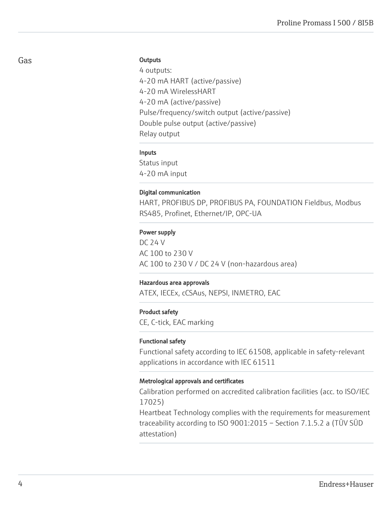#### **Outputs**

4 outputs: 4-20 mA HART (active/passive) 4-20 mA WirelessHART 4-20 mA (active/passive) Pulse/frequency/switch output (active/passive) Double pulse output (active/passive) Relay output

#### Inputs

Status input 4-20 mA input

#### Digital communication

HART, PROFIBUS DP, PROFIBUS PA, FOUNDATION Fieldbus, Modbus RS485, Profinet, Ethernet/IP, OPC-UA

#### Power supply

DC 24 V AC 100 to 230 V AC 100 to 230 V / DC 24 V (non-hazardous area)

#### Hazardous area approvals

ATEX, IECEx, cCSAus, NEPSI, INMETRO, EAC

#### Product safety

CE, C-tick, EAC marking

#### Functional safety

Functional safety according to IEC 61508, applicable in safety-relevant applications in accordance with IEC 61511

#### Metrological approvals and certificates

Calibration performed on accredited calibration facilities (acc. to ISO/IEC 17025)

Heartbeat Technology complies with the requirements for measurement traceability according to ISO 9001:2015 – Section 7.1.5.2 a (TÜV SÜD attestation)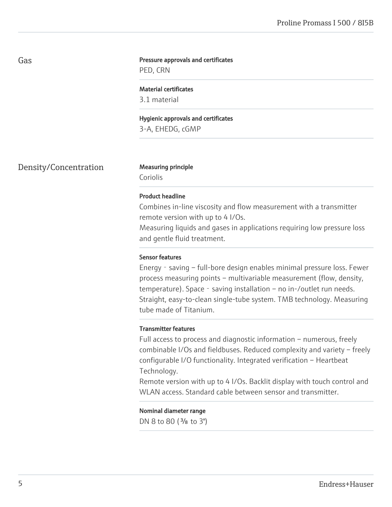#### Pressure approvals and certificates

PED, CRN

#### Material certificates

3.1 material

### Hygienic approvals and certificates

3-A, EHEDG, cGMP

Density/Concentration Measuring principle

Coriolis

#### Product headline

Combines in-line viscosity and flow measurement with a transmitter remote version with up to 4 I/Os.

Measuring liquids and gases in applications requiring low pressure loss and gentle fluid treatment.

#### Sensor features

Energy - saving – full-bore design enables minimal pressure loss. Fewer process measuring points – multivariable measurement (flow, density, temperature). Space - saving installation – no in-/outlet run needs. Straight, easy-to-clean single-tube system. TMB technology. Measuring tube made of Titanium.

#### Transmitter features

Full access to process and diagnostic information – numerous, freely combinable I/Os and fieldbuses. Reduced complexity and variety – freely configurable I/O functionality. Integrated verification – Heartbeat Technology.

Remote version with up to 4 I/Os. Backlit display with touch control and WLAN access. Standard cable between sensor and transmitter.

Nominal diameter range DN 8 to 80 (<sup>3</sup>/<sub>8</sub> to 3")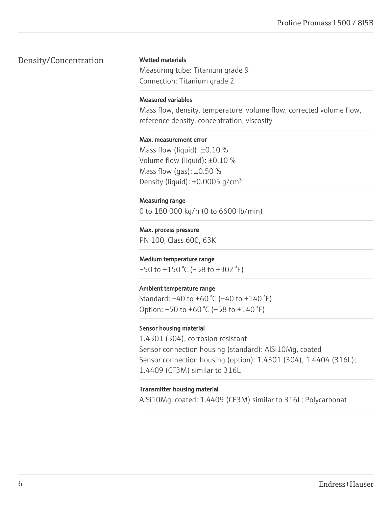### Density/Concentration

#### Wetted materials

Measuring tube: Titanium grade 9 Connection: Titanium grade 2

#### Measured variables

Mass flow, density, temperature, volume flow, corrected volume flow, reference density, concentration, viscosity

#### Max. measurement error

Mass flow (liquid):  $\pm 0.10$  % Volume flow (liquid): ±0.10 % Mass flow (gas):  $\pm 0.50$  % Density (liquid):  $\pm 0.0005$  g/cm<sup>3</sup>

#### Measuring range

0 to 180 000 kg/h (0 to 6600 lb/min)

### Max. process pressure

PN 100, Class 600, 63K

#### Medium temperature range

 $-50$  to  $+150$  °C ( $-58$  to  $+302$  °F)

#### Ambient temperature range

Standard: –40 to +60 °C (–40 to +140 °F) Option: –50 to +60 °C (–58 to +140 °F)

#### Sensor housing material

1.4301 (304), corrosion resistant Sensor connection housing (standard): AlSi10Mg, coated Sensor connection housing (option): 1.4301 (304); 1.4404 (316L); 1.4409 (CF3M) similar to 316L

#### Transmitter housing material

AlSi10Mg, coated; 1.4409 (CF3M) similar to 316L; Polycarbonat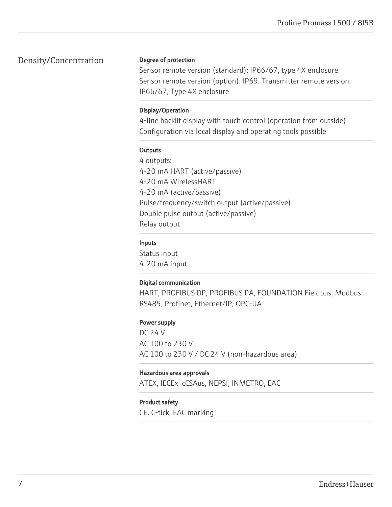### Density/Concentration

#### Degree of protection

Sensor remote version (standard): IP66/67, type 4X enclosure Sensor remote version (option): IP69. Transmitter remote version: IP66/67, Type 4X enclosure

#### Display/Operation

4-line backlit display with touch control (operation from outside) Configuration via local display and operating tools possible

#### **Outputs**

4 outputs: 4-20 mA HART (active/passive) 4-20 mA WirelessHART 4-20 mA (active/passive) Pulse/frequency/switch output (active/passive) Double pulse output (active/passive) Relay output

### Inputs

Status input 4-20 mA input

### Digital communication

HART, PROFIBUS DP, PROFIBUS PA, FOUNDATION Fieldbus, Modbus RS485, Profinet, Ethernet/IP, OPC-UA

### Power supply

DC 24 V AC 100 to 230 V AC 100 to 230 V / DC 24 V (non-hazardous area)

#### Hazardous area approvals

ATEX, IECEx, cCSAus, NEPSI, INMETRO, EAC

### Product safety

CE, C-tick, EAC marking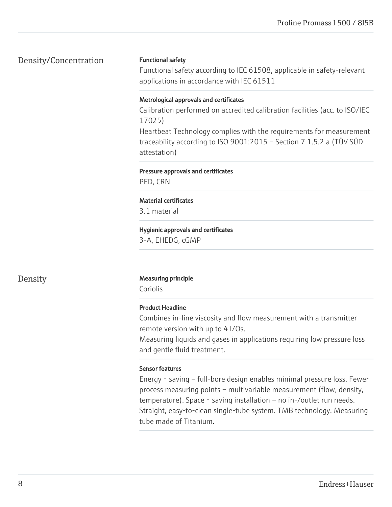### Density/Concentration

#### Functional safety

Functional safety according to IEC 61508, applicable in safety-relevant applications in accordance with IEC 61511

#### Metrological approvals and certificates

Calibration performed on accredited calibration facilities (acc. to ISO/IEC 17025)

Heartbeat Technology complies with the requirements for measurement traceability according to ISO 9001:2015 – Section 7.1.5.2 a (TÜV SÜD attestation)

#### Pressure approvals and certificates

PED, CRN

#### Material certificates

3.1 material

## Hygienic approvals and certificates

3-A, EHEDG, cGMP

### Density Measuring principle

Coriolis

### Product Headline

Combines in-line viscosity and flow measurement with a transmitter remote version with up to 4 I/Os.

Measuring liquids and gases in applications requiring low pressure loss and gentle fluid treatment.

### Sensor features

Energy‐saving – full-bore design enables minimal pressure loss. Fewer process measuring points – multivariable measurement (flow, density, temperature). Space - saving installation – no in-/outlet run needs. Straight, easy-to-clean single-tube system. TMB technology. Measuring tube made of Titanium.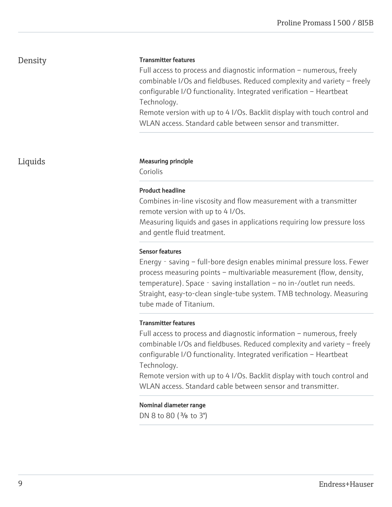### Density

#### Transmitter features

Full access to process and diagnostic information – numerous, freely combinable I/Os and fieldbuses. Reduced complexity and variety – freely configurable I/O functionality. Integrated verification – Heartbeat Technology.

Remote version with up to 4 I/Os. Backlit display with touch control and WLAN access. Standard cable between sensor and transmitter.

#### Liquids **Measuring principle**

Coriolis

#### Product headline

Combines in-line viscosity and flow measurement with a transmitter remote version with up to 4 I/Os.

Measuring liquids and gases in applications requiring low pressure loss and gentle fluid treatment.

#### Sensor features

Energy‐saving – full-bore design enables minimal pressure loss. Fewer process measuring points – multivariable measurement (flow, density, temperature). Space - saving installation – no in-/outlet run needs. Straight, easy-to-clean single-tube system. TMB technology. Measuring tube made of Titanium.

#### Transmitter features

Full access to process and diagnostic information – numerous, freely combinable I/Os and fieldbuses. Reduced complexity and variety – freely configurable I/O functionality. Integrated verification – Heartbeat Technology.

Remote version with up to 4 I/Os. Backlit display with touch control and WLAN access. Standard cable between sensor and transmitter.

Nominal diameter range

DN 8 to 80 (<sup>3</sup>/<sub>8</sub> to 3")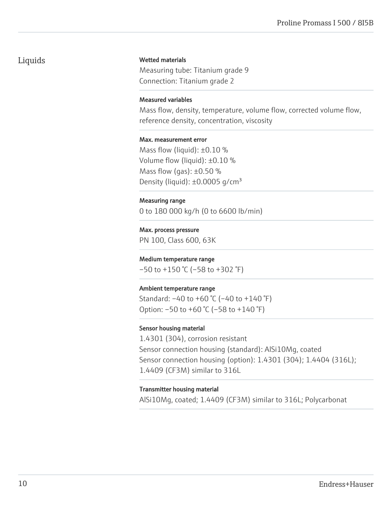### Liquids

#### Wetted materials

Measuring tube: Titanium grade 9 Connection: Titanium grade 2

#### Measured variables

Mass flow, density, temperature, volume flow, corrected volume flow, reference density, concentration, viscosity

#### Max. measurement error

Mass flow (liquid):  $\pm 0.10$  % Volume flow (liquid): ±0.10 % Mass flow (gas):  $\pm 0.50$  % Density (liquid):  $\pm 0.0005$  g/cm<sup>3</sup>

#### Measuring range

0 to 180 000 kg/h (0 to 6600 lb/min)

#### Max. process pressure

PN 100, Class 600, 63K

#### Medium temperature range

 $-50$  to  $+150$  °C ( $-58$  to  $+302$  °F)

#### Ambient temperature range

Standard: –40 to +60 °C (–40 to +140 °F) Option: –50 to +60 °C (–58 to +140 °F)

#### Sensor housing material

1.4301 (304), corrosion resistant Sensor connection housing (standard): AlSi10Mg, coated Sensor connection housing (option): 1.4301 (304); 1.4404 (316L); 1.4409 (CF3M) similar to 316L

#### Transmitter housing material

AlSi10Mg, coated; 1.4409 (CF3M) similar to 316L; Polycarbonat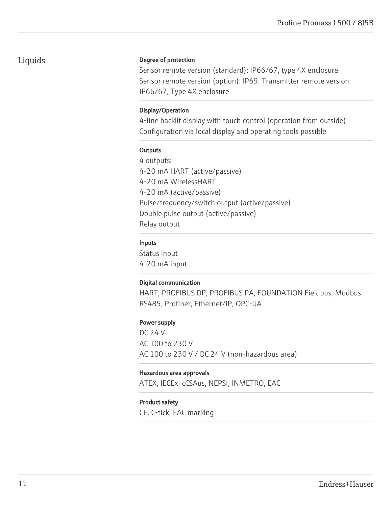### Liquids

#### Degree of protection

Sensor remote version (standard): IP66/67, type 4X enclosure Sensor remote version (option): IP69. Transmitter remote version: IP66/67, Type 4X enclosure

#### Display/Operation

4-line backlit display with touch control (operation from outside) Configuration via local display and operating tools possible

#### **Outputs**

4 outputs: 4-20 mA HART (active/passive) 4-20 mA WirelessHART 4-20 mA (active/passive) Pulse/frequency/switch output (active/passive) Double pulse output (active/passive) Relay output

#### Inputs

Status input 4-20 mA input

### Digital communication

HART, PROFIBUS DP, PROFIBUS PA, FOUNDATION Fieldbus, Modbus RS485, Profinet, Ethernet/IP, OPC-UA

### Power supply

DC 24 V AC 100 to 230 V AC 100 to 230 V / DC 24 V (non-hazardous area)

#### Hazardous area approvals

ATEX, IECEx, cCSAus, NEPSI, INMETRO, EAC

### Product safety

CE, C-tick, EAC marking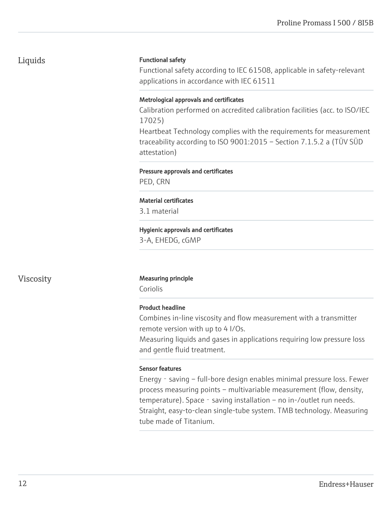### Liquids

#### Functional safety

Functional safety according to IEC 61508, applicable in safety-relevant applications in accordance with IEC 61511

#### Metrological approvals and certificates

Calibration performed on accredited calibration facilities (acc. to ISO/IEC 17025)

Heartbeat Technology complies with the requirements for measurement traceability according to ISO 9001:2015 – Section 7.1.5.2 a (TÜV SÜD attestation)

#### Pressure approvals and certificates

PED, CRN

#### Material certificates

3.1 material

### Hygienic approvals and certificates

3-A, EHEDG, cGMP

### Viscosity Measuring principle

Coriolis

#### Product headline

Combines in-line viscosity and flow measurement with a transmitter remote version with up to 4 I/Os.

Measuring liquids and gases in applications requiring low pressure loss and gentle fluid treatment.

### Sensor features

Energy - saving – full-bore design enables minimal pressure loss. Fewer process measuring points – multivariable measurement (flow, density, temperature). Space - saving installation – no in-/outlet run needs. Straight, easy-to-clean single-tube system. TMB technology. Measuring tube made of Titanium.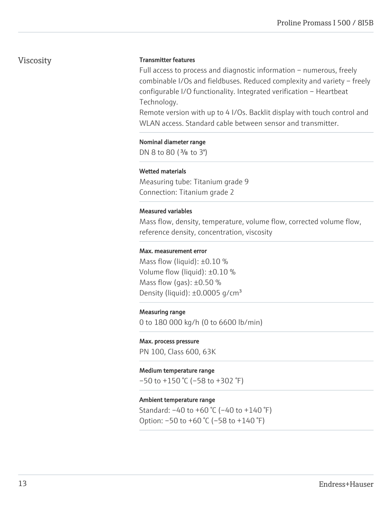### Viscosity

#### Transmitter features

Full access to process and diagnostic information – numerous, freely combinable I/Os and fieldbuses. Reduced complexity and variety – freely configurable I/O functionality. Integrated verification – Heartbeat Technology.

Remote version with up to 4 I/Os. Backlit display with touch control and WLAN access. Standard cable between sensor and transmitter.

#### Nominal diameter range

DN 8 to 80 (<sup>3</sup>/<sub>8</sub> to 3")

#### Wetted materials

Measuring tube: Titanium grade 9 Connection: Titanium grade 2

#### Measured variables

Mass flow, density, temperature, volume flow, corrected volume flow, reference density, concentration, viscosity

#### Max. measurement error

Mass flow (liquid):  $\pm 0.10$  % Volume flow (liquid): ±0.10 % Mass flow (gas):  $\pm 0.50$  % Density (liquid):  $\pm 0.0005$  g/cm<sup>3</sup>

#### Measuring range

0 to 180 000 kg/h (0 to 6600 lb/min)

#### Max. process pressure

PN 100, Class 600, 63K

#### Medium temperature range

 $-50$  to  $+150$  °C ( $-58$  to  $+302$  °F)

#### Ambient temperature range

Standard: –40 to +60 °C (–40 to +140 °F) Option: –50 to +60 °C (–58 to +140 °F)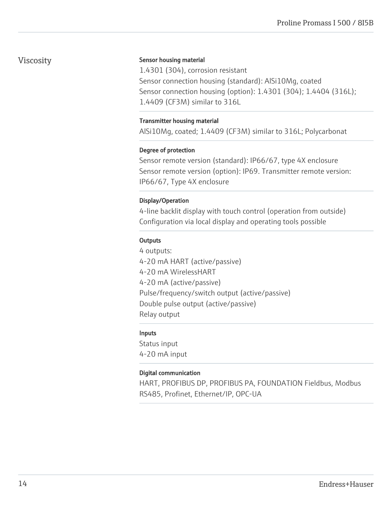### Viscosity

#### Sensor housing material

1.4301 (304), corrosion resistant Sensor connection housing (standard): AlSi10Mg, coated Sensor connection housing (option): 1.4301 (304); 1.4404 (316L); 1.4409 (CF3M) similar to 316L

#### Transmitter housing material

AlSi10Mg, coated; 1.4409 (CF3M) similar to 316L; Polycarbonat

#### Degree of protection

Sensor remote version (standard): IP66/67, type 4X enclosure Sensor remote version (option): IP69. Transmitter remote version: IP66/67, Type 4X enclosure

### Display/Operation

4-line backlit display with touch control (operation from outside) Configuration via local display and operating tools possible

#### **Outputs**

4 outputs: 4-20 mA HART (active/passive) 4-20 mA WirelessHART 4-20 mA (active/passive) Pulse/frequency/switch output (active/passive) Double pulse output (active/passive) Relay output

### Inputs

Status input 4-20 mA input

### Digital communication

HART, PROFIBUS DP, PROFIBUS PA, FOUNDATION Fieldbus, Modbus RS485, Profinet, Ethernet/IP, OPC-UA